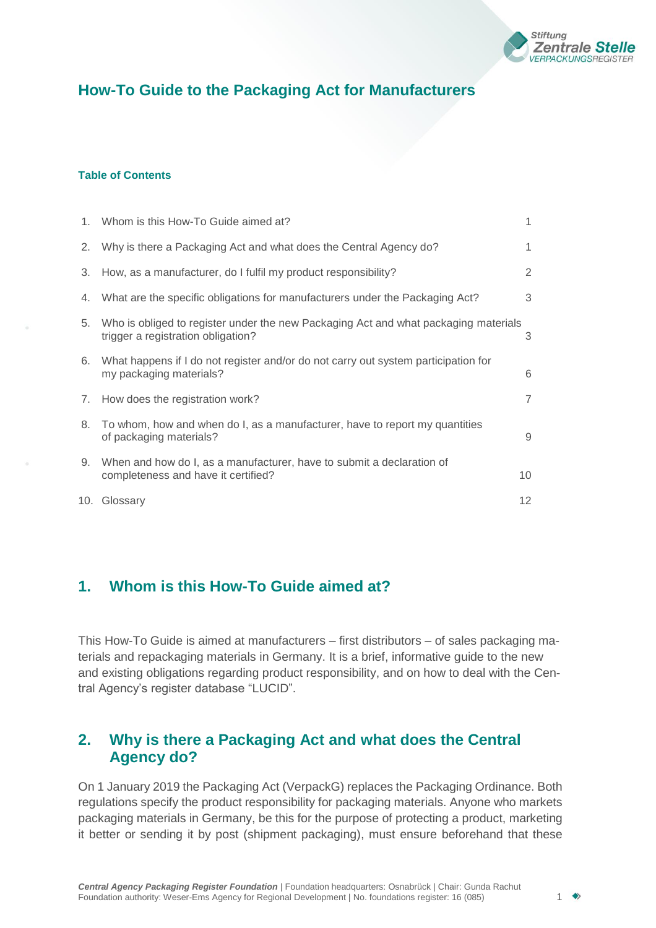

# **How-To Guide to the Packaging Act for Manufacturers**

#### **Table of Contents**

|    | 1. Whom is this How-To Guide aimed at?                                                                                    | 1              |
|----|---------------------------------------------------------------------------------------------------------------------------|----------------|
| 2. | Why is there a Packaging Act and what does the Central Agency do?                                                         | 1              |
| 3. | How, as a manufacturer, do I fulfil my product responsibility?                                                            | 2              |
| 4. | What are the specific obligations for manufacturers under the Packaging Act?                                              | 3              |
| 5. | Who is obliged to register under the new Packaging Act and what packaging materials<br>trigger a registration obligation? | 3              |
| 6. | What happens if I do not register and/or do not carry out system participation for<br>my packaging materials?             | 6              |
| 7. | How does the registration work?                                                                                           | $\overline{7}$ |
| 8. | To whom, how and when do I, as a manufacturer, have to report my quantities<br>of packaging materials?                    | 9              |
| 9. | When and how do I, as a manufacturer, have to submit a declaration of<br>completeness and have it certified?              | 10             |
|    | 10. Glossary                                                                                                              | 12             |

# <span id="page-0-0"></span>**1. Whom is this How-To Guide aimed at?**

This How-To Guide is aimed at manufacturers – first distributors – of sales packaging materials and repackaging materials in Germany. It is a brief, informative guide to the new and existing obligations regarding product responsibility, and on how to deal with the Central Agency's register database "LUCID".

# <span id="page-0-1"></span>**2. Why is there a Packaging Act and what does the Central Agency do?**

On 1 January 2019 the Packaging Act (VerpackG) replaces the Packaging Ordinance. Both regulations specify the product responsibility for packaging materials. Anyone who markets packaging materials in Germany, be this for the purpose of protecting a product, marketing it better or sending it by post (shipment packaging), must ensure beforehand that these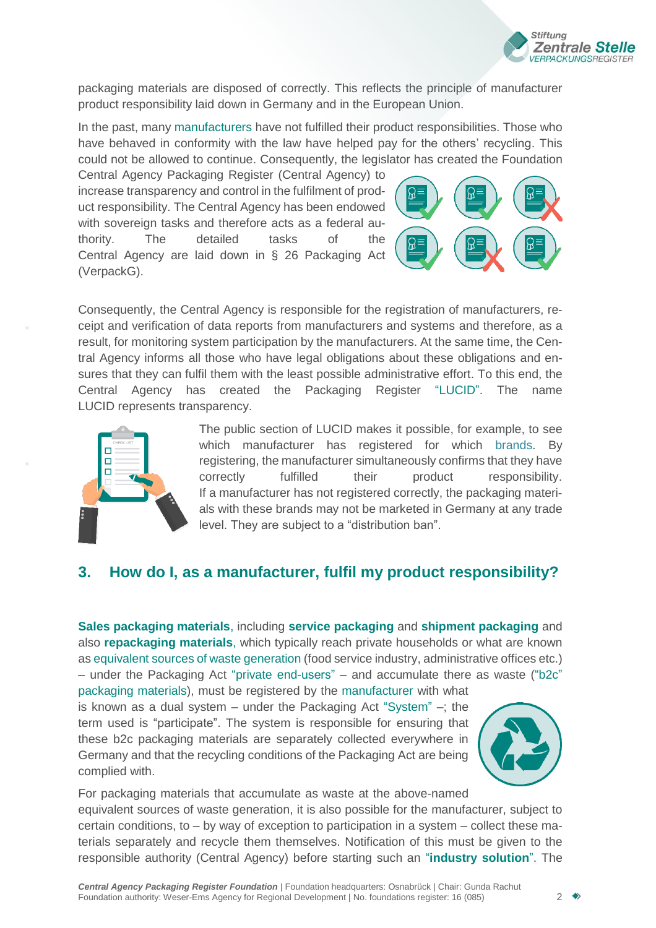

packaging materials are disposed of correctly. This reflects the principle of manufacturer product responsibility laid down in Germany and in the European Union.

In the past, many manufacturers have not fulfilled their product responsibilities. Those who have behaved in conformity with the law have helped pay for the others' recycling. This could not be allowed to continue. Consequently, the legislator has created the Foundation

Central Agency Packaging Register (Central Agency) to increase transparency and control in the fulfilment of product responsibility. The Central Agency has been endowed with sovereign tasks and therefore acts as a federal authority. The detailed tasks of the Central Agency are laid down in § 26 Packaging Act (VerpackG).



Consequently, the Central Agency is responsible for the registration of manufacturers, receipt and verification of data reports from manufacturers and systems and therefore, as a result, for monitoring system participation by the manufacturers. At the same time, the Central Agency informs all those who have legal obligations about these obligations and ensures that they can fulfil them with the least possible administrative effort. To this end, the Central Agency has created the Packaging Register ["LUCID".](#page-11-1) The name LUCID represents transparency.



The public section of LUCID makes it possible, for example, to see which manufacturer has registered for which brands. By registering, the manufacturer simultaneously confirms that they have correctly fulfilled their product responsibility. If a manufacturer has not registered correctly, the packaging materials with these brands may not be marketed in Germany at any trade level. They are subject to a "distribution ban".

## <span id="page-1-0"></span>**3. How do I, as a manufacturer, fulfil my product responsibility?**

**Sales packaging materials**, including **service [packaging](#page-13-0)** and **shipment packaging** and also **repackaging materials**, which typically reach private households or what are known as equivalent sources of waste generation (food service industry, administrative offices etc.) – under the Packaging Act ["private end-users"](#page-12-0) – and accumulate there as waste [\("b2c"](#page-11-2)

[packaging](#page-11-2) materials), must be registered by the manufacturer with what is known as a dual system – under the Packaging Act ["System"](#page-13-1) –; the term used is "participate". The system is responsible for ensuring that these b2c packaging materials are separately collected everywhere in Germany and that the recycling conditions of the Packaging Act are being complied with.



For packaging materials that accumulate as waste at the above-named equivalent sources of waste generation, it is also possible for the manufacturer, subject to certain conditions, to – by way of exception to participation in a system – collect these materials separately and recycle them themselves. Notification of this must be given to the responsible authority (Central Agency) before starting such an "**industry solution**". The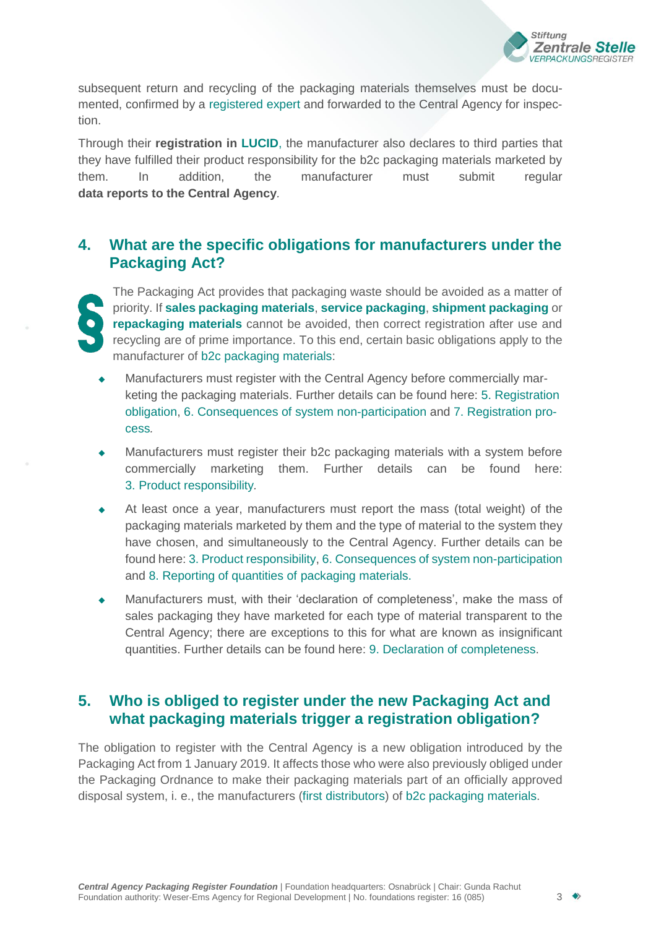

subsequent return and recycling of the packaging materials themselves must be documented, confirmed by a [registered](#page-12-1) expert and forwarded to the Central Agency for inspection.

Through their **registration in [LUCID](#page-11-1)**, the manufacturer also declares to third parties that they have fulfilled their product responsibility for the b2c packaging materials marketed by them. In addition, the manufacturer must submit regular **data reports to the Central Agency***.*

# <span id="page-2-0"></span>**4. What are the specific obligations for manufacturers under the Packaging Act?**

The Packaging Act provides that packaging waste should be avoided as a matter of priority. If **sales packaging materials**, **service [packaging](#page-13-0)**, **shipment packaging** or **repackaging materials** cannot be avoided, then correct registration after use and recycling are of prime importance. To this end, certain basic obligations apply to the manufacturer of b2c [packaging materials:](#page-11-2)

- Manufacturers must register with the Central Agency before commercially marketing the packaging materials. Further details can be found here: 5. [Registration](#page-2-1)  [obligation,](#page-2-1) 6. [Consequences of system non-participation](#page-5-0) and 7. [Registration](#page-6-0) process*.*
- Manufacturers must register their b2c packaging materials with a system before commercially marketing them. Further details can be found here: 3. Product [responsibility](#page-1-0)*.*
- At least once a year, manufacturers must report the mass (total weight) of the packaging materials marketed by them and the type of material to the system they have chosen, and simultaneously to the Central Agency. Further details can be found here: 3. Product [responsibility,](#page-1-0) 6. [Consequences of system](#page-5-0) non-participation and 8. [Reporting of quantities of packaging materials.](#page-8-0)
- Manufacturers must, with their 'declaration of completeness', make the mass of sales packaging they have marketed for each type of material transparent to the Central Agency; there are exceptions to this for what are known as insignificant quantities. Further details can be found here: 9. [Declaration of completeness.](#page-9-0)

# <span id="page-2-1"></span>**5. Who is obliged to register under the new Packaging Act and what packaging materials trigger a registration obligation?**

The obligation to register with the Central Agency is a new obligation introduced by the Packaging Act from 1 January 2019. It affects those who were also previously obliged under the Packaging Ordnance to make their packaging materials part of an officially approved disposal system, i. e., the manufacturers (first distributors) of [b2c packaging](#page-11-2) materials.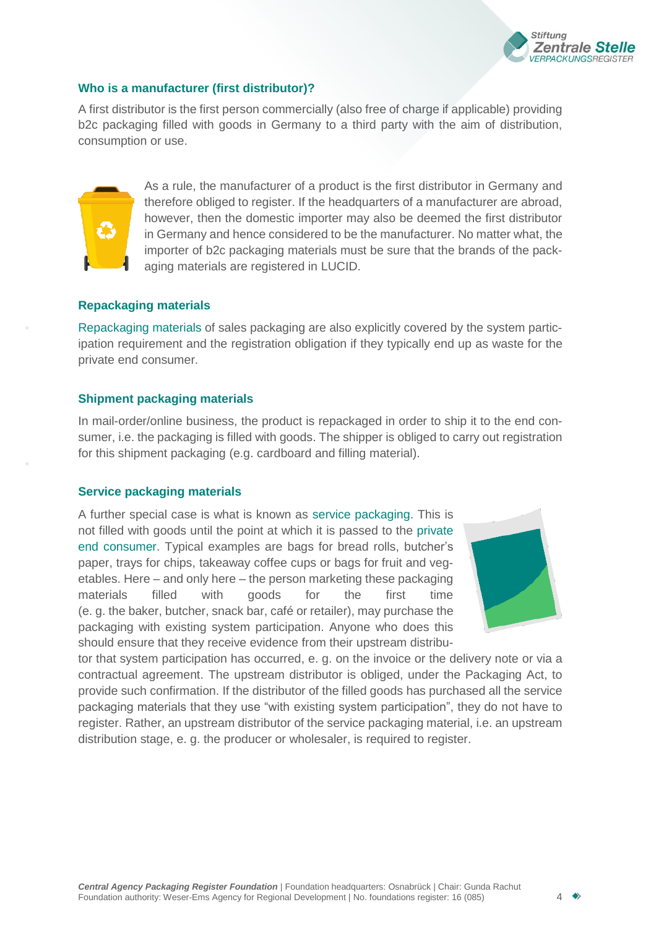

### **Who is a manufacturer (first distributor)?**

A first distributor is the first person commercially (also free of charge if applicable) providing b2c packaging filled with goods in Germany to a third party with the aim of distribution, consumption or use.



As a rule, the manufacturer of a product is the first distributor in Germany and therefore obliged to register. If the headquarters of a manufacturer are abroad, however, then the domestic importer may also be deemed the first distributor in Germany and hence considered to be the manufacturer. No matter what, the importer of b2c packaging materials must be sure that the brands of the packaging materials are registered in LUCID.

### **Repackaging materials**

Repackaging materials of sales packaging are also explicitly covered by the system participation requirement and the registration obligation if they typically end up as waste for the private end consumer.

#### **Shipment packaging materials**

In mail-order/online business, the product is repackaged in order to ship it to the end consumer, i.e. the packaging is filled with goods. The shipper is obliged to carry out registration for this shipment packaging (e.g. cardboard and filling material).

#### **Service packaging materials**

A further special case is what is known as service [packaging.](#page-13-0) This is not filled with goods until the point at which it is passed to the [private](#page-12-0)  end [consumer.](#page-12-0) Typical examples are bags for bread rolls, butcher's paper, trays for chips, takeaway coffee cups or bags for fruit and vegetables. Here – and only here – the person marketing these packaging materials filled with goods for the first time (e. g. the baker, butcher, snack bar, café or retailer), may purchase the packaging with existing system participation. Anyone who does this should ensure that they receive evidence from their upstream distribu-



tor that system participation has occurred, e. g. on the invoice or the delivery note or via a contractual agreement. The upstream distributor is obliged, under the Packaging Act, to provide such confirmation. If the distributor of the filled goods has purchased all the service packaging materials that they use "with existing system participation", they do not have to register. Rather, an upstream distributor of the service packaging material, i.e. an upstream distribution stage, e. g. the producer or wholesaler, is required to register.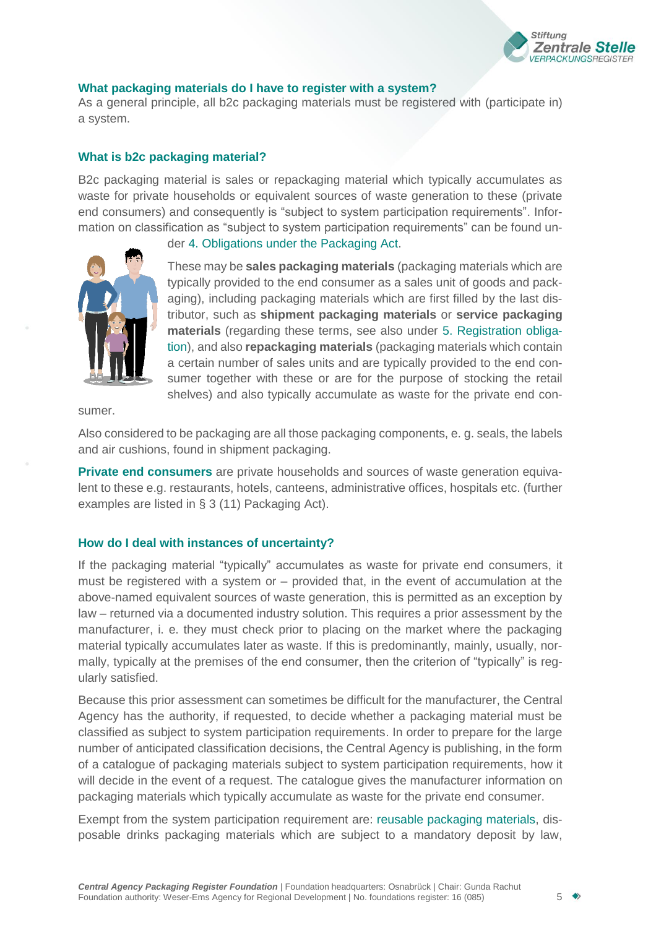

### **What packaging materials do I have to register with a system?**

As a general principle, all b2c packaging materials must be registered with (participate in) a system.

### **What is b2c packaging material?**

B2c packaging material is sales or repackaging material which typically accumulates as waste for private households or equivalent sources of waste generation to these (private end consumers) and consequently is "subject to system participation requirements". Information on classification as "subject to system participation requirements" can be found un-



der 4. [Obligations under the Packaging Act.](#page-2-0)

These may be **sales packaging materials** (packaging materials which are typically provided to the end consumer as a sales unit of goods and packaging), including packaging materials which are first filled by the last distributor, such as **shipment packaging materials** or **service packaging materials** (regarding these terms, see also under 5. [Registration obliga](#page-2-1)[tion\)](#page-2-1), and also **repackaging materials** (packaging materials which contain a certain number of sales units and are typically provided to the end consumer together with these or are for the purpose of stocking the retail shelves) and also typically accumulate as waste for the private end con-

sumer.

Also considered to be packaging are all those packaging components, e. g. seals, the labels and air cushions, found in shipment packaging.

**[Private end](#page-12-0) consumers** are private households and sources of waste generation equivalent to these e.g. restaurants, hotels, canteens, administrative offices, hospitals etc. (further examples are listed in § 3 (11) Packaging Act).

### **How do I deal with instances of uncertainty?**

If the packaging material "typically" accumulates as waste for private end consumers, it must be registered with a system or – provided that, in the event of accumulation at the above-named equivalent sources of waste generation, this is permitted as an exception by law – returned via a documented industry solution. This requires a prior assessment by the manufacturer, i. e. they must check prior to placing on the market where the packaging material typically accumulates later as waste. If this is predominantly, mainly, usually, normally, typically at the premises of the end consumer, then the criterion of "typically" is regularly satisfied.

Because this prior assessment can sometimes be difficult for the manufacturer, the Central Agency has the authority, if requested, to decide whether a packaging material must be classified as subject to system participation requirements. In order to prepare for the large number of anticipated classification decisions, the Central Agency is publishing, in the form of a catalogue of packaging materials subject to system participation requirements, how it will decide in the event of a request. The catalogue gives the manufacturer information on packaging materials which typically accumulate as waste for the private end consumer.

Exempt from the system participation requirement are: reusable packaging materials, disposable drinks packaging materials which are subject to a mandatory deposit by law,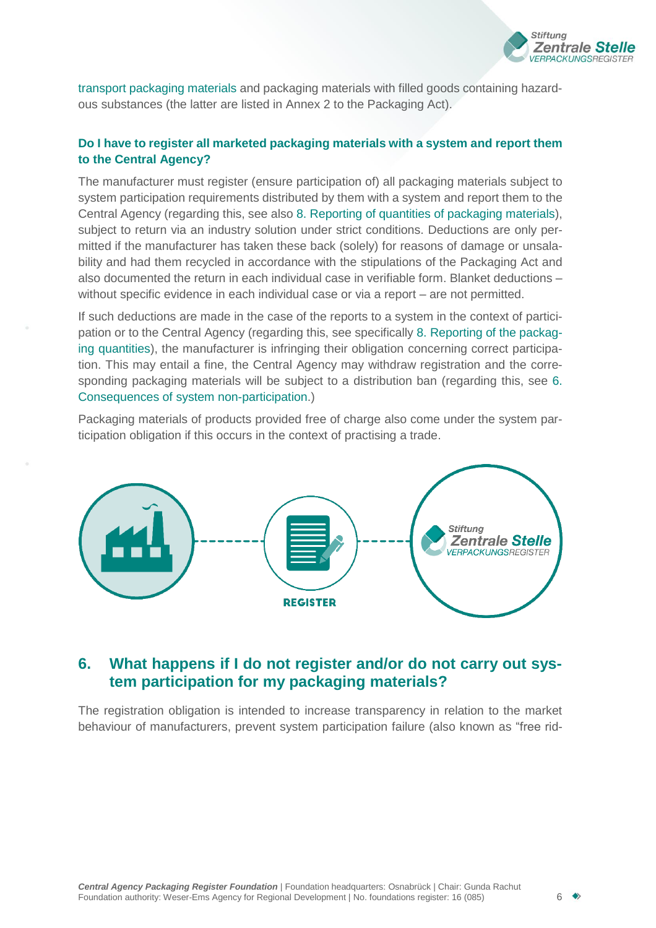

[transport packaging materials a](#page-13-2)nd packaging materials with filled goods containing hazardous substances (the latter are listed in Annex 2 to the Packaging Act).

### **Do I have to register all marketed packaging materials with a system and report them to the Central Agency?**

The manufacturer must register (ensure participation of) all packaging materials subject to system participation requirements distributed by them with a system and report them to the Central Agency (regarding this, see also 8. [Reporting of quantities of packaging materials\)](#page-8-0), subject to return via an industry solution under strict conditions. Deductions are only permitted if the manufacturer has taken these back (solely) for reasons of damage or unsalability and had them recycled in accordance with the stipulations of the Packaging Act and also documented the return in each individual case in verifiable form. Blanket deductions – without specific evidence in each individual case or via a report – are not permitted.

If such deductions are made in the case of the reports to a system in the context of participation or to the Central Agency (regarding this, see specifically 8. [Reporting of the](#page-8-0) packag[ing](#page-8-0) quantities), the manufacturer is infringing their obligation concerning correct participation. This may entail a fine, the Central Agency may withdraw registration and the corresponding packaging materials will be subject to a distribution ban (regarding this, see [6.](#page-5-0) [Consequences of system non-participation.](#page-5-0))

Packaging materials of products provided free of charge also come under the system participation obligation if this occurs in the context of practising a trade.



### <span id="page-5-0"></span>**6. What happens if I do not register and/or do not carry out system participation for my packaging materials?**

The registration obligation is intended to increase transparency in relation to the market behaviour of manufacturers, prevent system participation failure (also known as "free rid-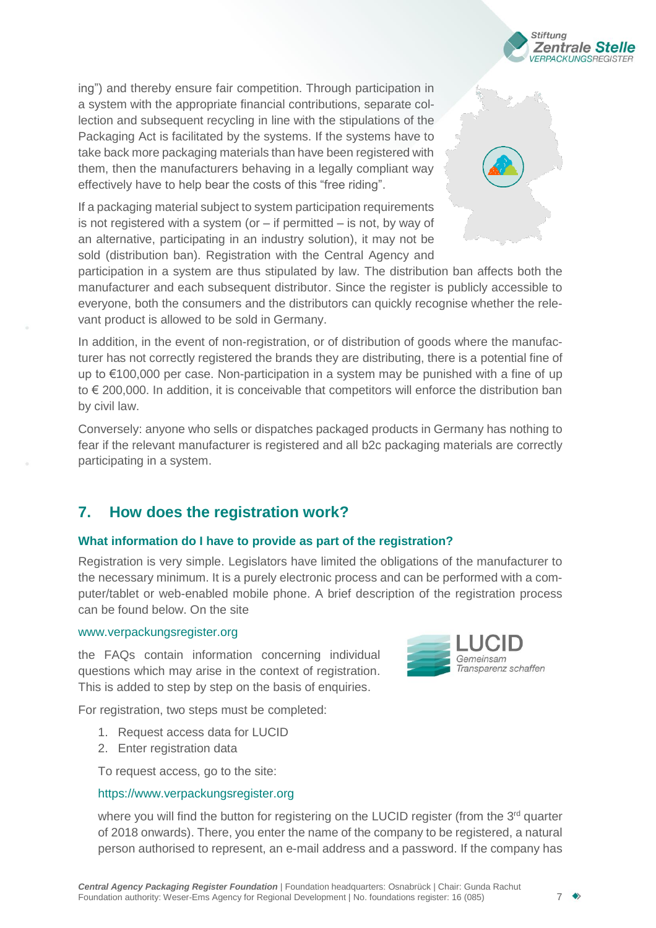

ing") and thereby ensure fair competition. Through participation in a system with the appropriate financial contributions, separate collection and subsequent recycling in line with the stipulations of the Packaging Act is facilitated by the systems. If the systems have to take back more packaging materials than have been registered with them, then the manufacturers behaving in a legally compliant way effectively have to help bear the costs of this "free riding".

If a packaging material subject to system participation requirements is not registered with a system (or  $-$  if permitted  $-$  is not, by way of an alternative, participating in an industry solution), it may not be sold (distribution ban). Registration with the Central Agency and

participation in a system are thus stipulated by law. The distribution ban affects both the manufacturer and each subsequent distributor. Since the register is publicly accessible to everyone, both the consumers and the distributors can quickly recognise whether the relevant product is allowed to be sold in Germany.

In addition, in the event of non-registration, or of distribution of goods where the manufacturer has not correctly registered the brands they are distributing, there is a potential fine of up to €100,000 per case. Non-participation in a system may be punished with a fine of up to € 200,000. In addition, it is conceivable that competitors will enforce the distribution ban by civil law.

Conversely: anyone who sells or dispatches packaged products in Germany has nothing to fear if the relevant manufacturer is registered and all b2c packaging materials are correctly participating in a system.

# <span id="page-6-0"></span>**7. How does the registration work?**

### **What information do I have to provide as part of the registration?**

Registration is very simple. Legislators have limited the obligations of the manufacturer to the necessary minimum. It is a purely electronic process and can be performed with a computer/tablet or web-enabled mobile phone. A brief description of the registration process can be found below. On the site

### [www.verpackungsregister.org](http://www.verpackungsregister.org/)

the FAQs contain information concerning individual questions which may arise in the context of registration. This is added to step by step on the basis of enquiries.

For registration, two steps must be completed:

- 1. Request access data for LUCID
- 2. Enter registration data

To request access, go to the site:

### [https://www.verpackungsregister.org](https://www.verpackungsregister.org/)

where you will find the button for registering on the LUCID register (from the 3<sup>rd</sup> quarter of 2018 onwards). There, you enter the name of the company to be registered, a natural person authorised to represent, an e-mail address and a password. If the company has

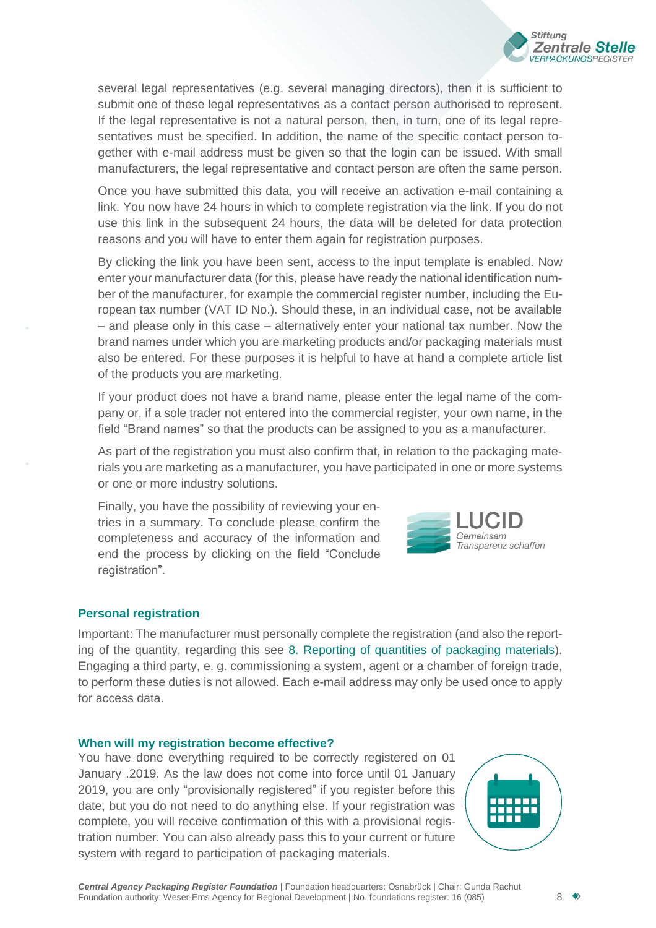

several legal representatives (e.g. several managing directors), then it is sufficient to submit one of these legal representatives as a contact person authorised to represent. If the legal representative is not a natural person, then, in turn, one of its legal representatives must be specified. In addition, the name of the specific contact person together with e-mail address must be given so that the login can be issued. With small manufacturers, the legal representative and contact person are often the same person.

Once you have submitted this data, you will receive an activation e-mail containing a link. You now have 24 hours in which to complete registration via the link. If you do not use this link in the subsequent 24 hours, the data will be deleted for data protection reasons and you will have to enter them again for registration purposes.

By clicking the link you have been sent, access to the input template is enabled. Now enter your manufacturer data (for this, please have ready the national identification number of the manufacturer, for example the commercial register number, including the European tax number (VAT ID No.). Should these, in an individual case, not be available – and please only in this case – alternatively enter your national tax number. Now the brand names under which you are marketing products and/or packaging materials must also be entered. For these purposes it is helpful to have at hand a complete article list of the products you are marketing.

If your product does not have a brand name, please enter the legal name of the company or, if a sole trader not entered into the commercial register, your own name, in the field "Brand names" so that the products can be assigned to you as a manufacturer.

As part of the registration you must also confirm that, in relation to the packaging materials you are marketing as a manufacturer, you have participated in one or more systems or one or more industry solutions.

Finally, you have the possibility of reviewing your entries in a summary. To conclude please confirm the completeness and accuracy of the information and end the process by clicking on the field "Conclude registration".



### **Personal registration**

Important: The manufacturer must personally complete the registration (and also the reporting of the quantity, regarding this see 8. [Reporting of quantities of packaging materials\)](#page-8-0). Engaging a third party, e. g. commissioning a system, agent or a chamber of foreign trade, to perform these duties is not allowed. Each e-mail address may only be used once to apply for access data.

#### **When will my registration become effective?**

You have done everything required to be correctly registered on 01 January .2019. As the law does not come into force until 01 January 2019, you are only "provisionally registered" if you register before this date, but you do not need to do anything else. If your registration was complete, you will receive confirmation of this with a provisional registration number. You can also already pass this to your current or future system with regard to participation of packaging materials.

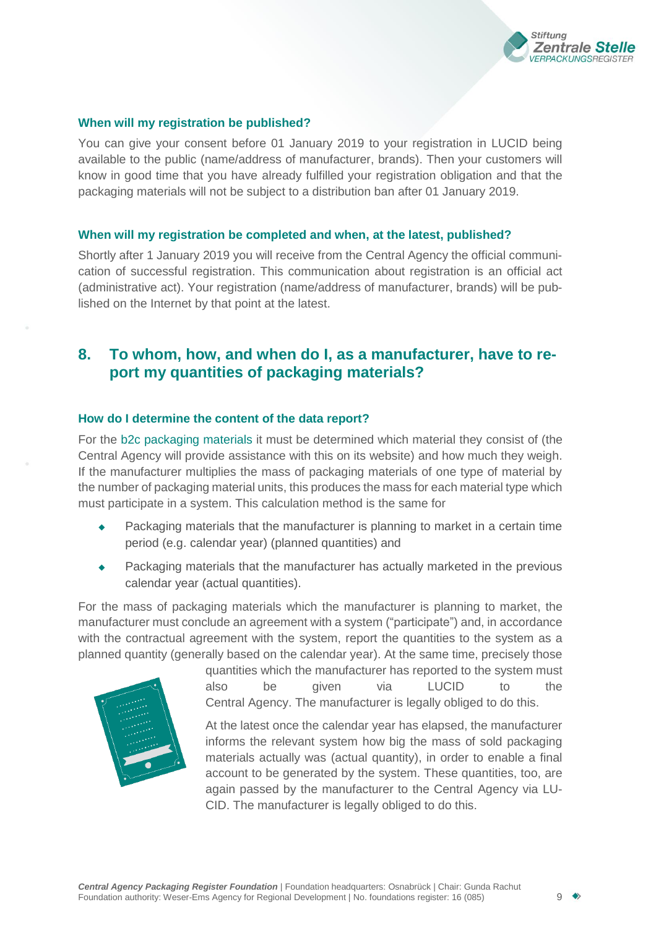

### **When will my registration be published?**

You can give your consent before 01 January 2019 to your registration in LUCID being available to the public (name/address of manufacturer, brands). Then your customers will know in good time that you have already fulfilled your registration obligation and that the packaging materials will not be subject to a distribution ban after 01 January 2019.

#### **When will my registration be completed and when, at the latest, published?**

Shortly after 1 January 2019 you will receive from the Central Agency the official communication of successful registration. This communication about registration is an official act (administrative act). Your registration (name/address of manufacturer, brands) will be published on the Internet by that point at the latest.

### <span id="page-8-0"></span>**8. To whom, how, and when do I, as a manufacturer, have to report my quantities of packaging materials?**

### **How do I determine the content of the data report?**

For the b2c [packaging](#page-11-2) materials it must be determined which material they consist of (the Central Agency will provide assistance with this on its website) and how much they weigh. If the manufacturer multiplies the mass of packaging materials of one type of material by the number of packaging material units, this produces the mass for each material type which must participate in a system. This calculation method is the same for

- Packaging materials that the manufacturer is planning to market in a certain time period (e.g. calendar year) (planned quantities) and
- Packaging materials that the manufacturer has actually marketed in the previous calendar year (actual quantities).

For the mass of packaging materials which the manufacturer is planning to market, the manufacturer must conclude an agreement with a system ("participate") and, in accordance with the contractual agreement with the system, report the quantities to the system as a planned quantity (generally based on the calendar year). At the same time, precisely those



quantities which the manufacturer has reported to the system must also be given via LUCID to the Central Agency. The manufacturer is legally obliged to do this.

At the latest once the calendar year has elapsed, the manufacturer informs the relevant system how big the mass of sold packaging materials actually was (actual quantity), in order to enable a final account to be generated by the system. These quantities, too, are again passed by the manufacturer to the Central Agency via LU-CID. The manufacturer is legally obliged to do this.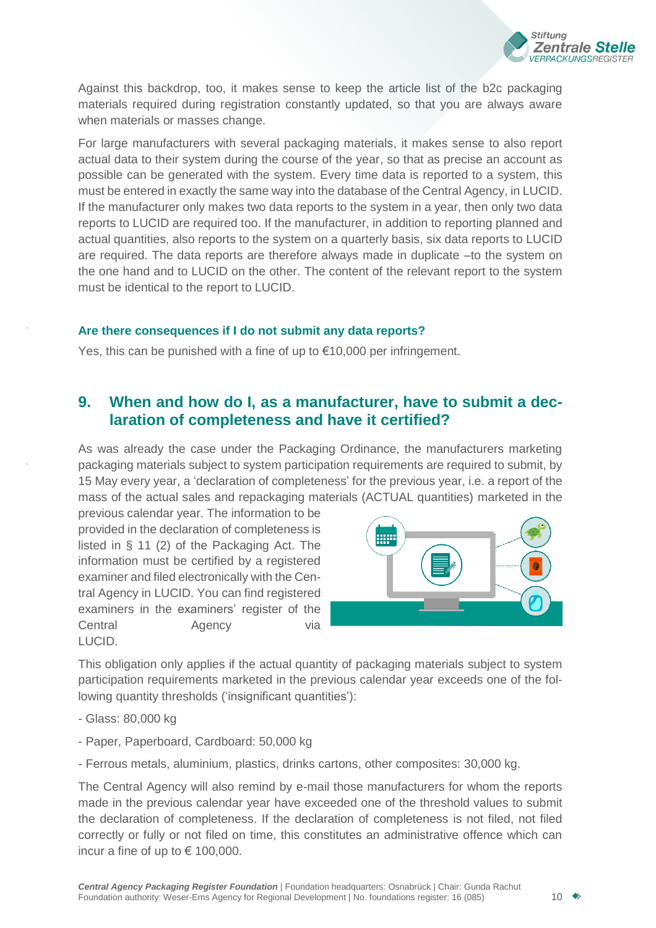

Against this backdrop, too, it makes sense to keep the article list of the b2c packaging materials required during registration constantly updated, so that you are always aware when materials or masses change.

For large manufacturers with several packaging materials, it makes sense to also report actual data to their system during the course of the year, so that as precise an account as possible can be generated with the system. Every time data is reported to a system, this must be entered in exactly the same way into the database of the Central Agency, in LUCID. If the manufacturer only makes two data reports to the system in a year, then only two data reports to LUCID are required too. If the manufacturer, in addition to reporting planned and actual quantities, also reports to the system on a quarterly basis, six data reports to LUCID are required. The data reports are therefore always made in duplicate –to the system on the one hand and to LUCID on the other. The content of the relevant report to the system must be identical to the report to LUCID.

### **Are there consequences if I do not submit any data reports?**

<span id="page-9-0"></span>Yes, this can be punished with a fine of up to €10,000 per infringement.

## **9. When and how do I, as a manufacturer, have to submit a declaration of completeness and have it certified?**

As was already the case under the Packaging Ordinance, the manufacturers marketing packaging materials subject to system participation requirements are required to submit, by 15 May every year, a 'declaration of completeness' for the previous year, i.e. a report of the mass of the actual sales and repackaging materials (ACTUAL quantities) marketed in the

previous calendar year. The information to be provided in the declaration of completeness is listed in § 11 (2) of the Packaging Act. The information must be certified by a registered examiner and filed electronically with the Central Agency in LUCID. You can find registered examiners in the examiners' register of the Central Agency via LUCID.



This obligation only applies if the actual quantity of packaging materials subject to system participation requirements marketed in the previous calendar year exceeds one of the following quantity thresholds ('insignificant quantities'):

- Glass: 80,000 kg
- Paper, Paperboard, Cardboard: 50,000 kg
- Ferrous metals, aluminium, plastics, drinks cartons, other composites: 30,000 kg.

The Central Agency will also remind by e-mail those manufacturers for whom the reports made in the previous calendar year have exceeded one of the threshold values to submit the declaration of completeness. If the declaration of completeness is not filed, not filed correctly or fully or not filed on time, this constitutes an administrative offence which can incur a fine of up to  $\epsilon$  100,000.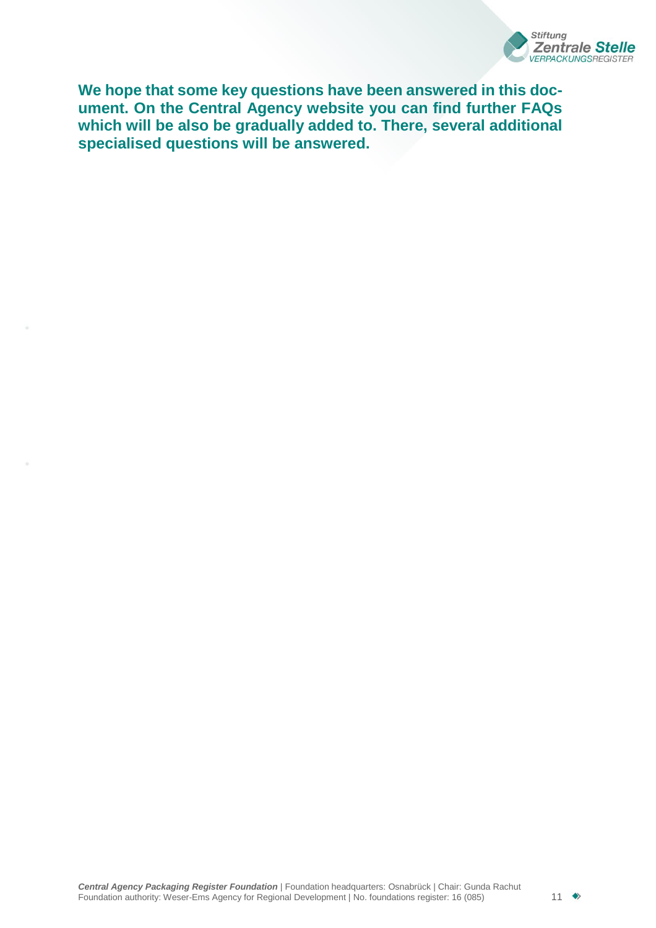

**We hope that some key questions have been answered in this document. On the Central Agency website you can find further FAQs which will be also be gradually added to. There, several additional specialised questions will be answered.**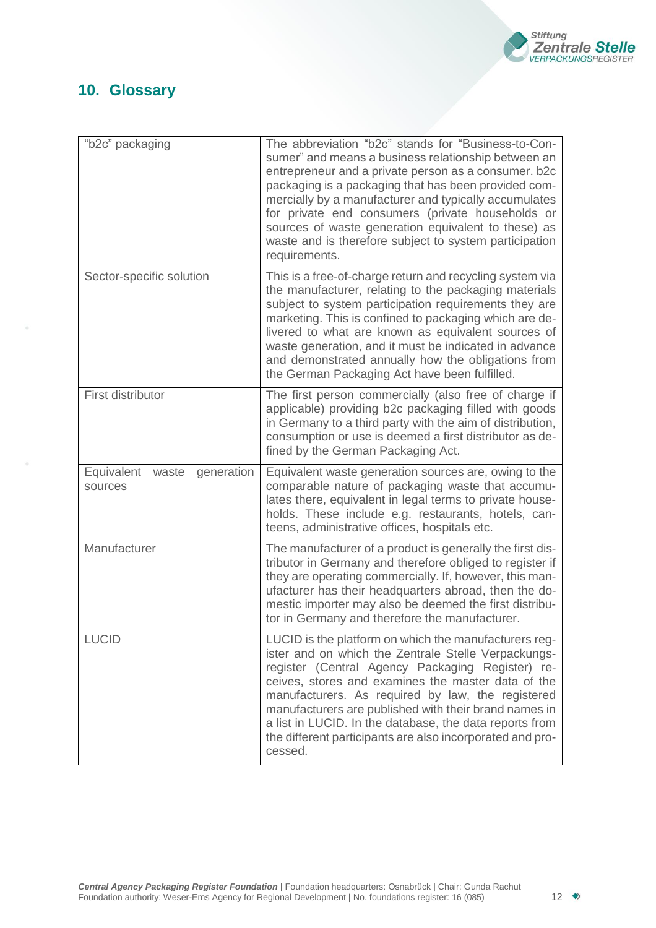

# <span id="page-11-0"></span>**10. Glossary**

<span id="page-11-2"></span><span id="page-11-1"></span>

| "b2c" packaging                              | The abbreviation "b2c" stands for "Business-to-Con-<br>sumer" and means a business relationship between an<br>entrepreneur and a private person as a consumer. b2c<br>packaging is a packaging that has been provided com-<br>mercially by a manufacturer and typically accumulates<br>for private end consumers (private households or<br>sources of waste generation equivalent to these) as<br>waste and is therefore subject to system participation<br>requirements. |
|----------------------------------------------|---------------------------------------------------------------------------------------------------------------------------------------------------------------------------------------------------------------------------------------------------------------------------------------------------------------------------------------------------------------------------------------------------------------------------------------------------------------------------|
| Sector-specific solution                     | This is a free-of-charge return and recycling system via<br>the manufacturer, relating to the packaging materials<br>subject to system participation requirements they are<br>marketing. This is confined to packaging which are de-<br>livered to what are known as equivalent sources of<br>waste generation, and it must be indicated in advance<br>and demonstrated annually how the obligations from<br>the German Packaging Act have been fulfilled.                |
| First distributor                            | The first person commercially (also free of charge if<br>applicable) providing b2c packaging filled with goods<br>in Germany to a third party with the aim of distribution,<br>consumption or use is deemed a first distributor as de-<br>fined by the German Packaging Act.                                                                                                                                                                                              |
| generation<br>Equivalent<br>waste<br>sources | Equivalent waste generation sources are, owing to the<br>comparable nature of packaging waste that accumu-<br>lates there, equivalent in legal terms to private house-<br>holds. These include e.g. restaurants, hotels, can-<br>teens, administrative offices, hospitals etc.                                                                                                                                                                                            |
| Manufacturer                                 | The manufacturer of a product is generally the first dis-<br>tributor in Germany and therefore obliged to register if<br>they are operating commercially. If, however, this man-<br>ufacturer has their headquarters abroad, then the do-<br>mestic importer may also be deemed the first distribu-<br>tor in Germany and therefore the manufacturer.                                                                                                                     |
| <b>LUCID</b>                                 | LUCID is the platform on which the manufacturers reg-<br>ister and on which the Zentrale Stelle Verpackungs-<br>register (Central Agency Packaging Register) re-<br>ceives, stores and examines the master data of the<br>manufacturers. As required by law, the registered<br>manufacturers are published with their brand names in<br>a list in LUCID. In the database, the data reports from<br>the different participants are also incorporated and pro-<br>cessed.   |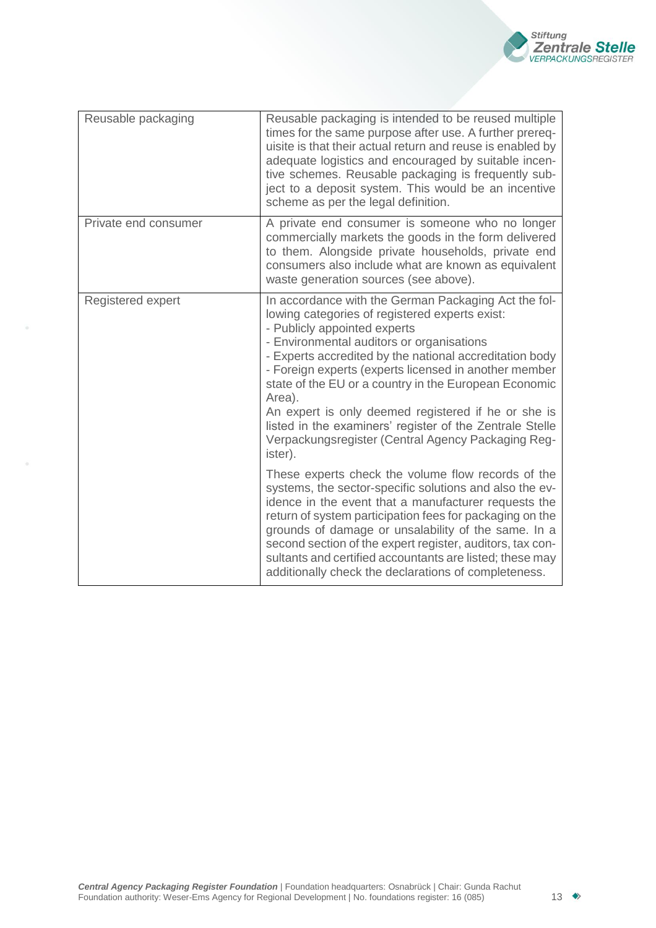

<span id="page-12-1"></span><span id="page-12-0"></span>

| Reusable packaging   | Reusable packaging is intended to be reused multiple<br>times for the same purpose after use. A further prereq-<br>uisite is that their actual return and reuse is enabled by<br>adequate logistics and encouraged by suitable incen-<br>tive schemes. Reusable packaging is frequently sub-<br>ject to a deposit system. This would be an incentive<br>scheme as per the legal definition.                                                                                                                                                                    |
|----------------------|----------------------------------------------------------------------------------------------------------------------------------------------------------------------------------------------------------------------------------------------------------------------------------------------------------------------------------------------------------------------------------------------------------------------------------------------------------------------------------------------------------------------------------------------------------------|
| Private end consumer | A private end consumer is someone who no longer<br>commercially markets the goods in the form delivered<br>to them. Alongside private households, private end<br>consumers also include what are known as equivalent<br>waste generation sources (see above).                                                                                                                                                                                                                                                                                                  |
| Registered expert    | In accordance with the German Packaging Act the fol-<br>lowing categories of registered experts exist:<br>- Publicly appointed experts<br>- Environmental auditors or organisations<br>- Experts accredited by the national accreditation body<br>- Foreign experts (experts licensed in another member<br>state of the EU or a country in the European Economic<br>Area).<br>An expert is only deemed registered if he or she is<br>listed in the examiners' register of the Zentrale Stelle<br>Verpackungsregister (Central Agency Packaging Reg-<br>ister). |
|                      | These experts check the volume flow records of the<br>systems, the sector-specific solutions and also the ev-<br>idence in the event that a manufacturer requests the<br>return of system participation fees for packaging on the<br>grounds of damage or unsalability of the same. In a<br>second section of the expert register, auditors, tax con-<br>sultants and certified accountants are listed; these may<br>additionally check the declarations of completeness.                                                                                      |